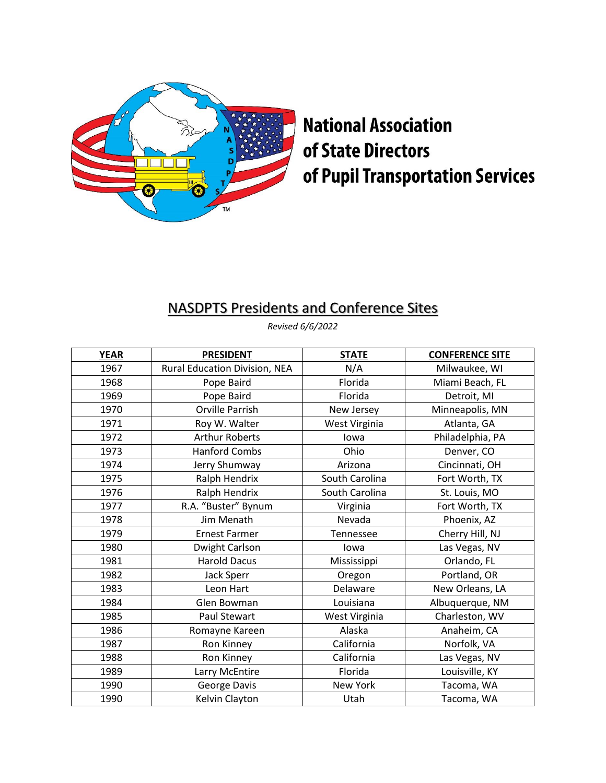

## **National Association** of State Directors of Pupil Transportation Services

## NASDPTS Presidents and Conference Sites

*Revised 6/6/2022*

| <b>YEAR</b> | <b>PRESIDENT</b>              | <b>STATE</b>   | <b>CONFERENCE SITE</b> |
|-------------|-------------------------------|----------------|------------------------|
| 1967        | Rural Education Division, NEA | N/A            | Milwaukee, WI          |
| 1968        | Pope Baird                    | Florida        | Miami Beach, FL        |
| 1969        | Pope Baird                    | Florida        | Detroit, MI            |
| 1970        | <b>Orville Parrish</b>        | New Jersey     | Minneapolis, MN        |
| 1971        | Roy W. Walter                 | West Virginia  | Atlanta, GA            |
| 1972        | <b>Arthur Roberts</b>         | lowa           | Philadelphia, PA       |
| 1973        | <b>Hanford Combs</b>          | Ohio           | Denver, CO             |
| 1974        | Jerry Shumway                 | Arizona        | Cincinnati, OH         |
| 1975        | Ralph Hendrix                 | South Carolina | Fort Worth, TX         |
| 1976        | Ralph Hendrix                 | South Carolina | St. Louis, MO          |
| 1977        | R.A. "Buster" Bynum           | Virginia       | Fort Worth, TX         |
| 1978        | Jim Menath                    | Nevada         | Phoenix, AZ            |
| 1979        | <b>Ernest Farmer</b>          | Tennessee      | Cherry Hill, NJ        |
| 1980        | Dwight Carlson                | lowa           | Las Vegas, NV          |
| 1981        | <b>Harold Dacus</b>           | Mississippi    | Orlando, FL            |
| 1982        | Jack Sperr                    | Oregon         | Portland, OR           |
| 1983        | Leon Hart                     | Delaware       | New Orleans, LA        |
| 1984        | Glen Bowman                   | Louisiana      | Albuquerque, NM        |
| 1985        | <b>Paul Stewart</b>           | West Virginia  | Charleston, WV         |
| 1986        | Romayne Kareen                | Alaska         | Anaheim, CA            |
| 1987        | Ron Kinney                    | California     | Norfolk, VA            |
| 1988        | Ron Kinney                    | California     | Las Vegas, NV          |
| 1989        | Larry McEntire                | Florida        | Louisville, KY         |
| 1990        | George Davis                  | New York       | Tacoma, WA             |
| 1990        | Kelvin Clayton                | Utah           | Tacoma, WA             |